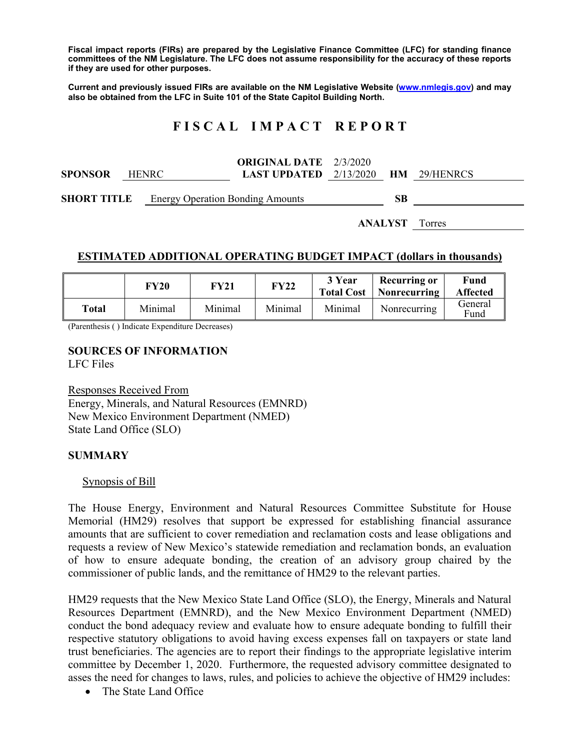**Fiscal impact reports (FIRs) are prepared by the Legislative Finance Committee (LFC) for standing finance committees of the NM Legislature. The LFC does not assume responsibility for the accuracy of these reports if they are used for other purposes.** 

**Current and previously issued FIRs are available on the NM Legislative Website (www.nmlegis.gov) and may also be obtained from the LFC in Suite 101 of the State Capitol Building North.** 

# **F I S C A L I M P A C T R E P O R T**

| <b>SPONSOR</b>                                      | <b>HENRC</b> | <b>ORIGINAL DATE</b> 2/3/2020<br><b>LAST UPDATED</b> 2/13/2020 <b>HM</b> 29/HENRCS |           |  |
|-----------------------------------------------------|--------------|------------------------------------------------------------------------------------|-----------|--|
| <b>SHORT TITLE</b> Energy Operation Bonding Amounts |              |                                                                                    | <b>SB</b> |  |

**ANALYST** Torres

## **ESTIMATED ADDITIONAL OPERATING BUDGET IMPACT (dollars in thousands)**

|       | FY20    | <b>FY21</b> | <b>FY22</b> | 3 Year<br><b>Total Cost</b> | <b>Recurring or</b><br>Nonrecurring | Fund<br><b>Affected</b> |
|-------|---------|-------------|-------------|-----------------------------|-------------------------------------|-------------------------|
| Total | Minimal | Minimal     | Minimal     | Minimal                     | Nonrecurring                        | General<br>Fund         |

(Parenthesis ( ) Indicate Expenditure Decreases)

#### **SOURCES OF INFORMATION**  LFC Files

Responses Received From Energy, Minerals, and Natural Resources (EMNRD) New Mexico Environment Department (NMED) State Land Office (SLO)

### **SUMMARY**

#### Synopsis of Bill

The House Energy, Environment and Natural Resources Committee Substitute for House Memorial (HM29) resolves that support be expressed for establishing financial assurance amounts that are sufficient to cover remediation and reclamation costs and lease obligations and requests a review of New Mexico's statewide remediation and reclamation bonds, an evaluation of how to ensure adequate bonding, the creation of an advisory group chaired by the commissioner of public lands, and the remittance of HM29 to the relevant parties.

HM29 requests that the New Mexico State Land Office (SLO), the Energy, Minerals and Natural Resources Department (EMNRD), and the New Mexico Environment Department (NMED) conduct the bond adequacy review and evaluate how to ensure adequate bonding to fulfill their respective statutory obligations to avoid having excess expenses fall on taxpayers or state land trust beneficiaries. The agencies are to report their findings to the appropriate legislative interim committee by December 1, 2020. Furthermore, the requested advisory committee designated to asses the need for changes to laws, rules, and policies to achieve the objective of HM29 includes:

• The State Land Office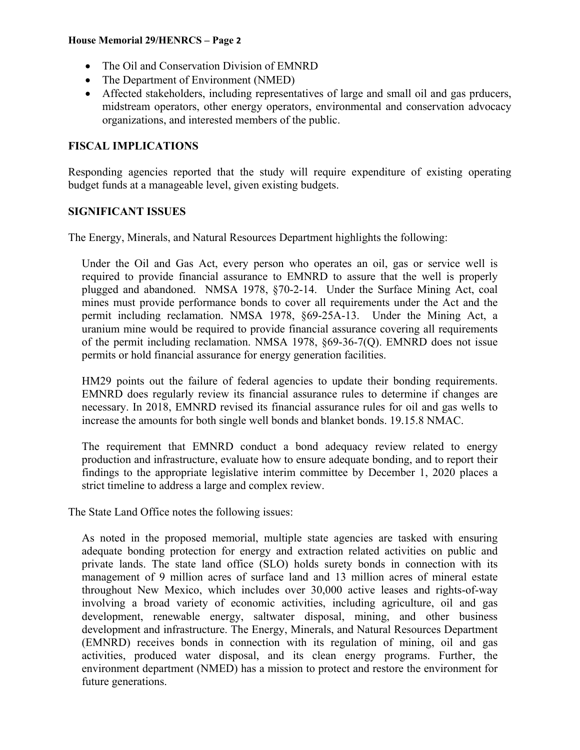#### **House Memorial 29/HENRCS – Page 2**

- The Oil and Conservation Division of EMNRD
- The Department of Environment (NMED)
- Affected stakeholders, including representatives of large and small oil and gas prducers, midstream operators, other energy operators, environmental and conservation advocacy organizations, and interested members of the public.

# **FISCAL IMPLICATIONS**

Responding agencies reported that the study will require expenditure of existing operating budget funds at a manageable level, given existing budgets.

# **SIGNIFICANT ISSUES**

The Energy, Minerals, and Natural Resources Department highlights the following:

Under the Oil and Gas Act, every person who operates an oil, gas or service well is required to provide financial assurance to EMNRD to assure that the well is properly plugged and abandoned. NMSA 1978, §70-2-14. Under the Surface Mining Act, coal mines must provide performance bonds to cover all requirements under the Act and the permit including reclamation. NMSA 1978, §69-25A-13. Under the Mining Act, a uranium mine would be required to provide financial assurance covering all requirements of the permit including reclamation. NMSA 1978, §69-36-7(Q). EMNRD does not issue permits or hold financial assurance for energy generation facilities.

HM29 points out the failure of federal agencies to update their bonding requirements. EMNRD does regularly review its financial assurance rules to determine if changes are necessary. In 2018, EMNRD revised its financial assurance rules for oil and gas wells to increase the amounts for both single well bonds and blanket bonds. 19.15.8 NMAC.

The requirement that EMNRD conduct a bond adequacy review related to energy production and infrastructure, evaluate how to ensure adequate bonding, and to report their findings to the appropriate legislative interim committee by December 1, 2020 places a strict timeline to address a large and complex review.

The State Land Office notes the following issues:

As noted in the proposed memorial, multiple state agencies are tasked with ensuring adequate bonding protection for energy and extraction related activities on public and private lands. The state land office (SLO) holds surety bonds in connection with its management of 9 million acres of surface land and 13 million acres of mineral estate throughout New Mexico, which includes over 30,000 active leases and rights-of-way involving a broad variety of economic activities, including agriculture, oil and gas development, renewable energy, saltwater disposal, mining, and other business development and infrastructure. The Energy, Minerals, and Natural Resources Department (EMNRD) receives bonds in connection with its regulation of mining, oil and gas activities, produced water disposal, and its clean energy programs. Further, the environment department (NMED) has a mission to protect and restore the environment for future generations.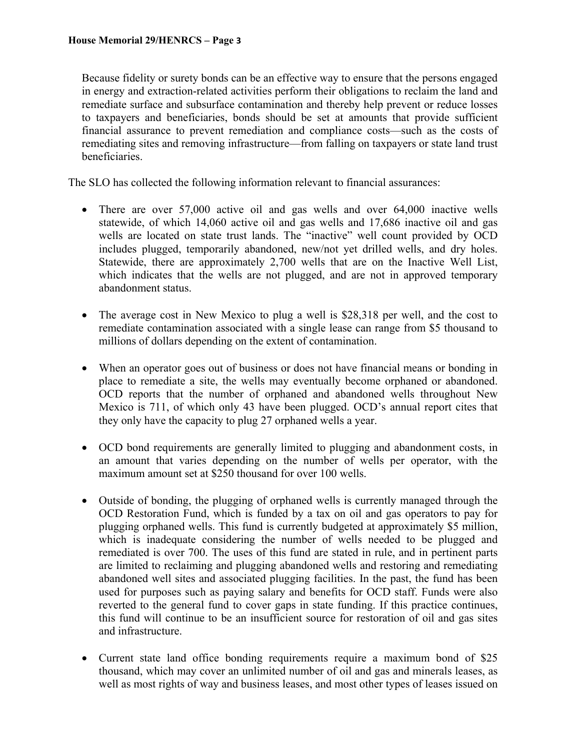Because fidelity or surety bonds can be an effective way to ensure that the persons engaged in energy and extraction-related activities perform their obligations to reclaim the land and remediate surface and subsurface contamination and thereby help prevent or reduce losses to taxpayers and beneficiaries, bonds should be set at amounts that provide sufficient financial assurance to prevent remediation and compliance costs—such as the costs of remediating sites and removing infrastructure—from falling on taxpayers or state land trust beneficiaries.

The SLO has collected the following information relevant to financial assurances:

- There are over 57,000 active oil and gas wells and over 64,000 inactive wells statewide, of which 14,060 active oil and gas wells and 17,686 inactive oil and gas wells are located on state trust lands. The "inactive" well count provided by OCD includes plugged, temporarily abandoned, new/not yet drilled wells, and dry holes. Statewide, there are approximately 2,700 wells that are on the Inactive Well List, which indicates that the wells are not plugged, and are not in approved temporary abandonment status.
- The average cost in New Mexico to plug a well is \$28,318 per well, and the cost to remediate contamination associated with a single lease can range from \$5 thousand to millions of dollars depending on the extent of contamination.
- When an operator goes out of business or does not have financial means or bonding in place to remediate a site, the wells may eventually become orphaned or abandoned. OCD reports that the number of orphaned and abandoned wells throughout New Mexico is 711, of which only 43 have been plugged. OCD's annual report cites that they only have the capacity to plug 27 orphaned wells a year.
- OCD bond requirements are generally limited to plugging and abandonment costs, in an amount that varies depending on the number of wells per operator, with the maximum amount set at \$250 thousand for over 100 wells.
- Outside of bonding, the plugging of orphaned wells is currently managed through the OCD Restoration Fund, which is funded by a tax on oil and gas operators to pay for plugging orphaned wells. This fund is currently budgeted at approximately \$5 million, which is inadequate considering the number of wells needed to be plugged and remediated is over 700. The uses of this fund are stated in rule, and in pertinent parts are limited to reclaiming and plugging abandoned wells and restoring and remediating abandoned well sites and associated plugging facilities. In the past, the fund has been used for purposes such as paying salary and benefits for OCD staff. Funds were also reverted to the general fund to cover gaps in state funding. If this practice continues, this fund will continue to be an insufficient source for restoration of oil and gas sites and infrastructure.
- Current state land office bonding requirements require a maximum bond of \$25 thousand, which may cover an unlimited number of oil and gas and minerals leases, as well as most rights of way and business leases, and most other types of leases issued on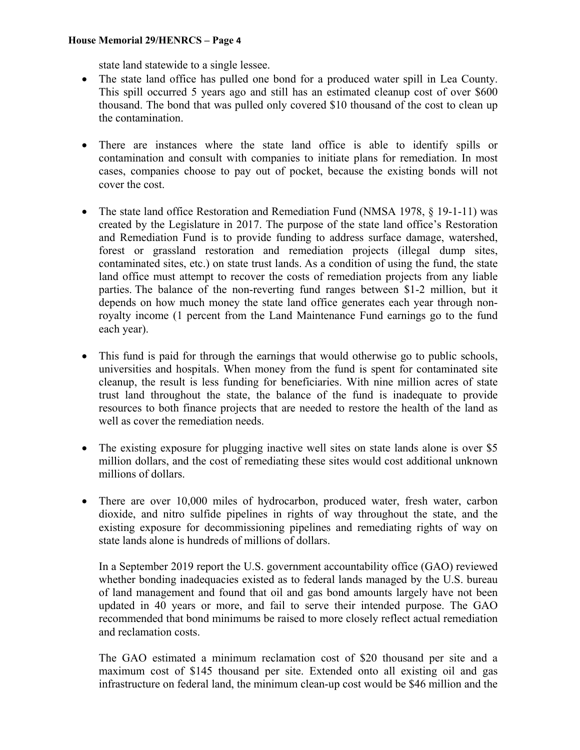#### **House Memorial 29/HENRCS – Page 4**

state land statewide to a single lessee.

- The state land office has pulled one bond for a produced water spill in Lea County. This spill occurred 5 years ago and still has an estimated cleanup cost of over \$600 thousand. The bond that was pulled only covered \$10 thousand of the cost to clean up the contamination.
- There are instances where the state land office is able to identify spills or contamination and consult with companies to initiate plans for remediation. In most cases, companies choose to pay out of pocket, because the existing bonds will not cover the cost.
- The state land office Restoration and Remediation Fund (NMSA 1978, § 19-1-11) was created by the Legislature in 2017. The purpose of the state land office's Restoration and Remediation Fund is to provide funding to address surface damage, watershed, forest or grassland restoration and remediation projects (illegal dump sites, contaminated sites, etc.) on state trust lands. As a condition of using the fund, the state land office must attempt to recover the costs of remediation projects from any liable parties. The balance of the non-reverting fund ranges between \$1-2 million, but it depends on how much money the state land office generates each year through nonroyalty income (1 percent from the Land Maintenance Fund earnings go to the fund each year).
- This fund is paid for through the earnings that would otherwise go to public schools, universities and hospitals. When money from the fund is spent for contaminated site cleanup, the result is less funding for beneficiaries. With nine million acres of state trust land throughout the state, the balance of the fund is inadequate to provide resources to both finance projects that are needed to restore the health of the land as well as cover the remediation needs.
- The existing exposure for plugging inactive well sites on state lands alone is over \$5 million dollars, and the cost of remediating these sites would cost additional unknown millions of dollars.
- There are over 10,000 miles of hydrocarbon, produced water, fresh water, carbon dioxide, and nitro sulfide pipelines in rights of way throughout the state, and the existing exposure for decommissioning pipelines and remediating rights of way on state lands alone is hundreds of millions of dollars.

In a September 2019 report the U.S. government accountability office (GAO) reviewed whether bonding inadequacies existed as to federal lands managed by the U.S. bureau of land management and found that oil and gas bond amounts largely have not been updated in 40 years or more, and fail to serve their intended purpose. The GAO recommended that bond minimums be raised to more closely reflect actual remediation and reclamation costs.

The GAO estimated a minimum reclamation cost of \$20 thousand per site and a maximum cost of \$145 thousand per site. Extended onto all existing oil and gas infrastructure on federal land, the minimum clean-up cost would be \$46 million and the